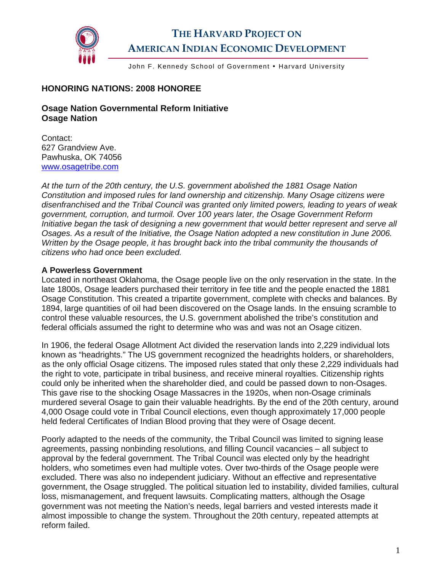

# **THE HARVARD PROJECT ON AMERICAN INDIAN ECONOMIC DEVELOPMENT**

John F. Kennedy School of Government • Harvard University

### **HONORING NATIONS: 2008 HONOREE**

### **Osage Nation Governmental Reform Initiative Osage Nation**

Contact: 627 Grandview Ave. Pawhuska, OK 74056 [www.osagetribe.com](http://www.osagetribe.com/)

*At the turn of the 20th century, the U.S. government abolished the 1881 Osage Nation Constitution and imposed rules for land ownership and citizenship. Many Osage citizens were disenfranchised and the Tribal Council was granted only limited powers, leading to years of weak government, corruption, and turmoil. Over 100 years later, the Osage Government Reform Initiative began the task of designing a new government that would better represent and serve all Osages. As a result of the Initiative, the Osage Nation adopted a new constitution in June 2006. Written by the Osage people, it has brought back into the tribal community the thousands of citizens who had once been excluded.* 

#### **A Powerless Government**

Located in northeast Oklahoma, the Osage people live on the only reservation in the state. In the late 1800s, Osage leaders purchased their territory in fee title and the people enacted the 1881 Osage Constitution. This created a tripartite government, complete with checks and balances. By 1894, large quantities of oil had been discovered on the Osage lands. In the ensuing scramble to control these valuable resources, the U.S. government abolished the tribe's constitution and federal officials assumed the right to determine who was and was not an Osage citizen.

In 1906, the federal Osage Allotment Act divided the reservation lands into 2,229 individual lots known as "headrights." The US government recognized the headrights holders, or shareholders, as the only official Osage citizens. The imposed rules stated that only these 2,229 individuals had the right to vote, participate in tribal business, and receive mineral royalties. Citizenship rights could only be inherited when the shareholder died, and could be passed down to non-Osages. This gave rise to the shocking Osage Massacres in the 1920s, when non-Osage criminals murdered several Osage to gain their valuable headrights. By the end of the 20th century, around 4,000 Osage could vote in Tribal Council elections, even though approximately 17,000 people held federal Certificates of Indian Blood proving that they were of Osage decent.

Poorly adapted to the needs of the community, the Tribal Council was limited to signing lease agreements, passing nonbinding resolutions, and filling Council vacancies – all subject to approval by the federal government. The Tribal Council was elected only by the headright holders, who sometimes even had multiple votes. Over two-thirds of the Osage people were excluded. There was also no independent judiciary. Without an effective and representative government, the Osage struggled. The political situation led to instability, divided families, cultural loss, mismanagement, and frequent lawsuits. Complicating matters, although the Osage government was not meeting the Nation's needs, legal barriers and vested interests made it almost impossible to change the system. Throughout the 20th century, repeated attempts at reform failed.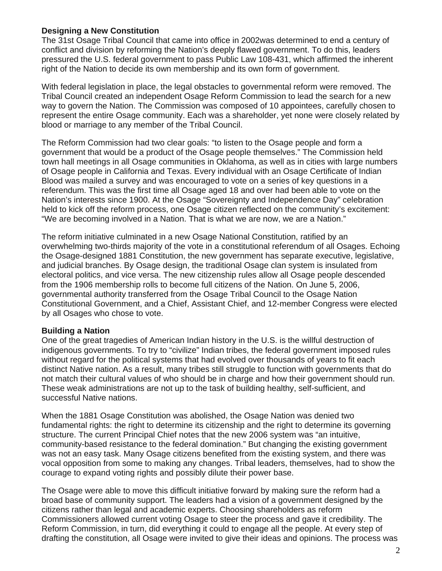#### **Designing a New Constitution**

The 31st Osage Tribal Council that came into office in 2002was determined to end a century of conflict and division by reforming the Nation's deeply flawed government. To do this, leaders pressured the U.S. federal government to pass Public Law 108-431, which affirmed the inherent right of the Nation to decide its own membership and its own form of government.

With federal legislation in place, the legal obstacles to governmental reform were removed. The Tribal Council created an independent Osage Reform Commission to lead the search for a new way to govern the Nation. The Commission was composed of 10 appointees, carefully chosen to represent the entire Osage community. Each was a shareholder, yet none were closely related by blood or marriage to any member of the Tribal Council.

The Reform Commission had two clear goals: "to listen to the Osage people and form a government that would be a product of the Osage people themselves." The Commission held town hall meetings in all Osage communities in Oklahoma, as well as in cities with large numbers of Osage people in California and Texas. Every individual with an Osage Certificate of Indian Blood was mailed a survey and was encouraged to vote on a series of key questions in a referendum. This was the first time all Osage aged 18 and over had been able to vote on the Nation's interests since 1900. At the Osage "Sovereignty and Independence Day" celebration held to kick off the reform process, one Osage citizen reflected on the community's excitement: "We are becoming involved in a Nation. That is what we are now, we are a Nation."

The reform initiative culminated in a new Osage National Constitution, ratified by an overwhelming two-thirds majority of the vote in a constitutional referendum of all Osages. Echoing the Osage-designed 1881 Constitution, the new government has separate executive, legislative, and judicial branches. By Osage design, the traditional Osage clan system is insulated from electoral politics, and vice versa. The new citizenship rules allow all Osage people descended from the 1906 membership rolls to become full citizens of the Nation. On June 5, 2006, governmental authority transferred from the Osage Tribal Council to the Osage Nation Constitutional Government, and a Chief, Assistant Chief, and 12-member Congress were elected by all Osages who chose to vote.

#### **Building a Nation**

One of the great tragedies of American Indian history in the U.S. is the willful destruction of indigenous governments. To try to "civilize" Indian tribes, the federal government imposed rules without regard for the political systems that had evolved over thousands of years to fit each distinct Native nation. As a result, many tribes still struggle to function with governments that do not match their cultural values of who should be in charge and how their government should run. These weak administrations are not up to the task of building healthy, self-sufficient, and successful Native nations.

When the 1881 Osage Constitution was abolished, the Osage Nation was denied two fundamental rights: the right to determine its citizenship and the right to determine its governing structure. The current Principal Chief notes that the new 2006 system was "an intuitive, community-based resistance to the federal domination." But changing the existing government was not an easy task. Many Osage citizens benefited from the existing system, and there was vocal opposition from some to making any changes. Tribal leaders, themselves, had to show the courage to expand voting rights and possibly dilute their power base.

The Osage were able to move this difficult initiative forward by making sure the reform had a broad base of community support. The leaders had a vision of a government designed by the citizens rather than legal and academic experts. Choosing shareholders as reform Commissioners allowed current voting Osage to steer the process and gave it credibility. The Reform Commission, in turn, did everything it could to engage all the people. At every step of drafting the constitution, all Osage were invited to give their ideas and opinions. The process was